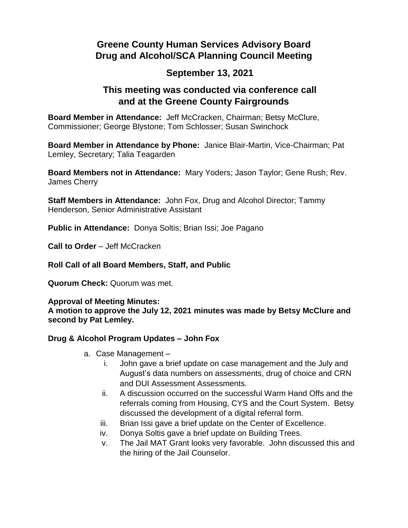# **Greene County Human Services Advisory Board Drug and Alcohol/SCA Planning Council Meeting**

## **September 13, 2021**

### **This meeting was conducted via conference call and at the Greene County Fairgrounds**

**Board Member in Attendance:** Jeff McCracken, Chairman; Betsy McClure, Commissioner; George Blystone; Tom Schlosser; Susan Swinchock

**Board Member in Attendance by Phone:** Janice Blair-Martin, Vice-Chairman; Pat Lemley, Secretary; Talia Teagarden

**Board Members not in Attendance:** Mary Yoders; Jason Taylor; Gene Rush; Rev. James Cherry

**Staff Members in Attendance:** John Fox, Drug and Alcohol Director; Tammy Henderson, Senior Administrative Assistant

**Public in Attendance:** Donya Soltis; Brian Issi; Joe Pagano

**Call to Order** – Jeff McCracken

**Roll Call of all Board Members, Staff, and Public**

**Quorum Check:** Quorum was met.

#### **Approval of Meeting Minutes:**

**A motion to approve the July 12, 2021 minutes was made by Betsy McClure and second by Pat Lemley.** 

#### **Drug & Alcohol Program Updates – John Fox**

- a. Case Management
	- i. John gave a brief update on case management and the July and August's data numbers on assessments, drug of choice and CRN and DUI Assessment Assessments.
	- ii. A discussion occurred on the successful Warm Hand Offs and the referrals coming from Housing, CYS and the Court System. Betsy discussed the development of a digital referral form.
	- iii. Brian Issi gave a brief update on the Center of Excellence.
	- iv. Donya Soltis gave a brief update on Building Trees.
	- v. The Jail MAT Grant looks very favorable. John discussed this and the hiring of the Jail Counselor.